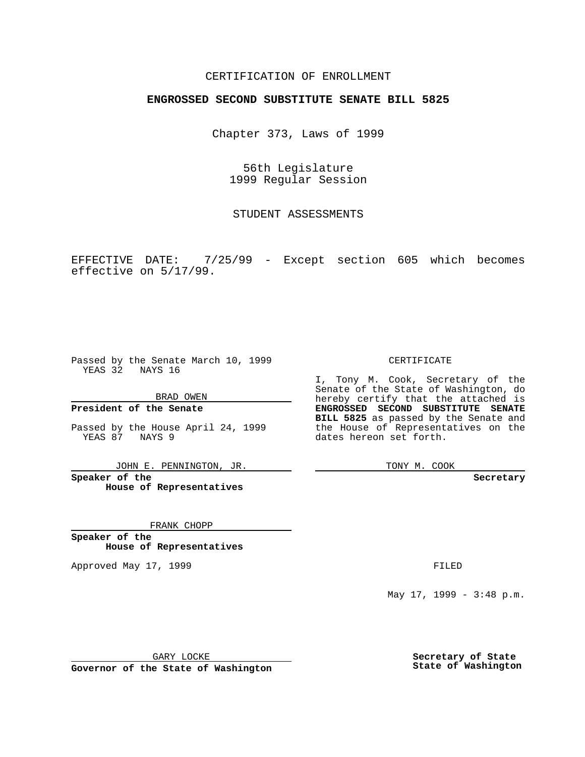## CERTIFICATION OF ENROLLMENT

# **ENGROSSED SECOND SUBSTITUTE SENATE BILL 5825**

Chapter 373, Laws of 1999

56th Legislature 1999 Regular Session

STUDENT ASSESSMENTS

EFFECTIVE DATE: 7/25/99 - Except section 605 which becomes effective on 5/17/99.

Passed by the Senate March 10, 1999 YEAS 32 NAYS 16

BRAD OWEN

**President of the Senate**

Passed by the House April 24, 1999 YEAS 87 NAYS 9

JOHN E. PENNINGTON, JR.

**Speaker of the House of Representatives**

FRANK CHOPP

**Speaker of the House of Representatives**

Approved May 17, 1999 **FILED** 

CERTIFICATE

I, Tony M. Cook, Secretary of the Senate of the State of Washington, do hereby certify that the attached is **ENGROSSED SECOND SUBSTITUTE SENATE BILL 5825** as passed by the Senate and the House of Representatives on the dates hereon set forth.

TONY M. COOK

**Secretary**

May 17, 1999 - 3:48 p.m.

GARY LOCKE

**Governor of the State of Washington**

**Secretary of State State of Washington**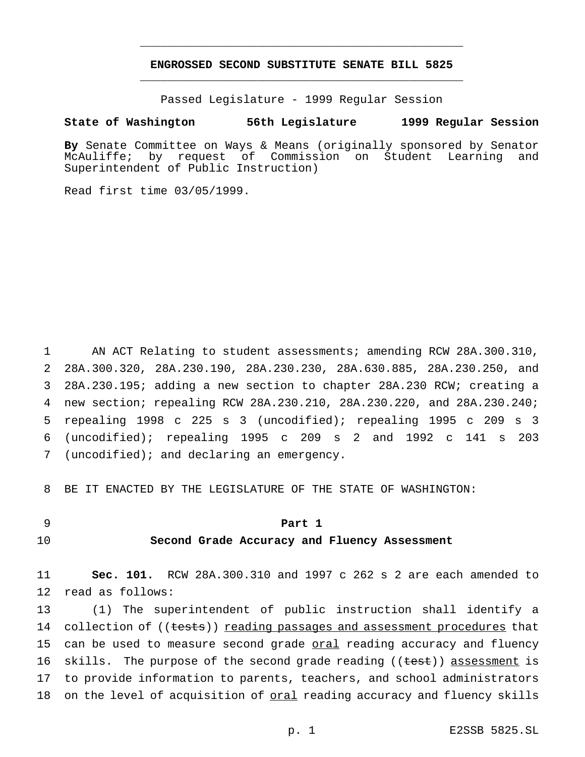# **ENGROSSED SECOND SUBSTITUTE SENATE BILL 5825** \_\_\_\_\_\_\_\_\_\_\_\_\_\_\_\_\_\_\_\_\_\_\_\_\_\_\_\_\_\_\_\_\_\_\_\_\_\_\_\_\_\_\_\_\_\_\_

\_\_\_\_\_\_\_\_\_\_\_\_\_\_\_\_\_\_\_\_\_\_\_\_\_\_\_\_\_\_\_\_\_\_\_\_\_\_\_\_\_\_\_\_\_\_\_

Passed Legislature - 1999 Regular Session

#### **State of Washington 56th Legislature 1999 Regular Session**

**By** Senate Committee on Ways & Means (originally sponsored by Senator McAuliffe; by request of Commission on Student Learning and Superintendent of Public Instruction)

Read first time 03/05/1999.

 AN ACT Relating to student assessments; amending RCW 28A.300.310, 28A.300.320, 28A.230.190, 28A.230.230, 28A.630.885, 28A.230.250, and 28A.230.195; adding a new section to chapter 28A.230 RCW; creating a new section; repealing RCW 28A.230.210, 28A.230.220, and 28A.230.240; repealing 1998 c 225 s 3 (uncodified); repealing 1995 c 209 s 3 (uncodified); repealing 1995 c 209 s 2 and 1992 c 141 s 203 (uncodified); and declaring an emergency.

8 BE IT ENACTED BY THE LEGISLATURE OF THE STATE OF WASHINGTON:

# 9 **Part 1**

## 10 **Second Grade Accuracy and Fluency Assessment**

11 **Sec. 101.** RCW 28A.300.310 and 1997 c 262 s 2 are each amended to 12 read as follows:

13 (1) The superintendent of public instruction shall identify a 14 collection of ((tests)) reading passages and assessment procedures that 15 can be used to measure second grade oral reading accuracy and fluency 16 skills. The purpose of the second grade reading ((test)) assessment is 17 to provide information to parents, teachers, and school administrators 18 on the level of acquisition of oral reading accuracy and fluency skills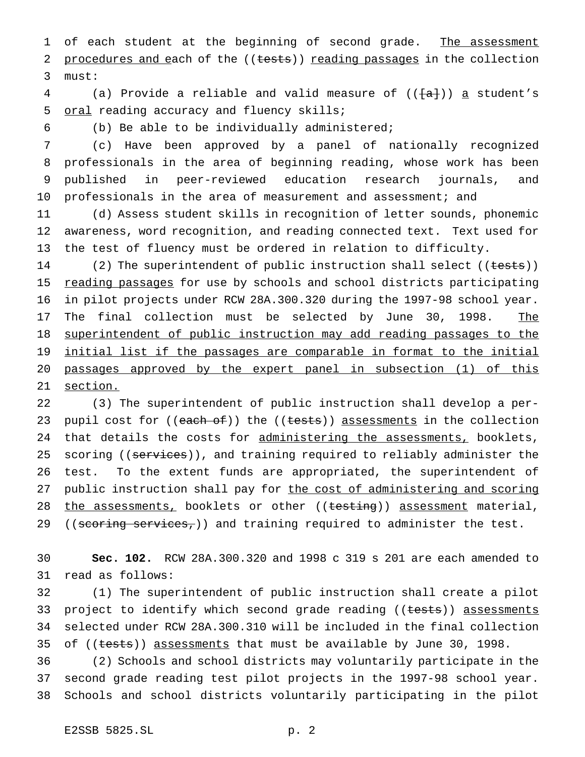1 of each student at the beginning of second grade. The assessment 2 procedures and each of the ((tests)) reading passages in the collection 3 must:

4 (a) Provide a reliable and valid measure of  $((\{a\})$  a student's 5 oral reading accuracy and fluency skills;

6 (b) Be able to be individually administered;

 (c) Have been approved by a panel of nationally recognized professionals in the area of beginning reading, whose work has been published in peer-reviewed education research journals, and 10 professionals in the area of measurement and assessment; and

11 (d) Assess student skills in recognition of letter sounds, phonemic 12 awareness, word recognition, and reading connected text. Text used for 13 the test of fluency must be ordered in relation to difficulty.

14 (2) The superintendent of public instruction shall select ((tests)) 15 reading passages for use by schools and school districts participating 16 in pilot projects under RCW 28A.300.320 during the 1997-98 school year. 17 The final collection must be selected by June 30, 1998. The 18 superintendent of public instruction may add reading passages to the 19 initial list if the passages are comparable in format to the initial 20 passages approved by the expert panel in subsection (1) of this 21 section.

22 (3) The superintendent of public instruction shall develop a per-23 pupil cost for ((each of)) the ((tests)) assessments in the collection 24 that details the costs for administering the assessments, booklets, 25 scoring ((services)), and training required to reliably administer the 26 test. To the extent funds are appropriated, the superintendent of 27 public instruction shall pay for the cost of administering and scoring 28 the assessments, booklets or other ((testing)) assessment material, 29 ((scoring services,)) and training required to administer the test.

30 **Sec. 102.** RCW 28A.300.320 and 1998 c 319 s 201 are each amended to 31 read as follows:

32 (1) The superintendent of public instruction shall create a pilot 33 project to identify which second grade reading ((tests)) assessments 34 selected under RCW 28A.300.310 will be included in the final collection 35 of ((tests)) assessments that must be available by June 30, 1998.

36 (2) Schools and school districts may voluntarily participate in the 37 second grade reading test pilot projects in the 1997-98 school year. 38 Schools and school districts voluntarily participating in the pilot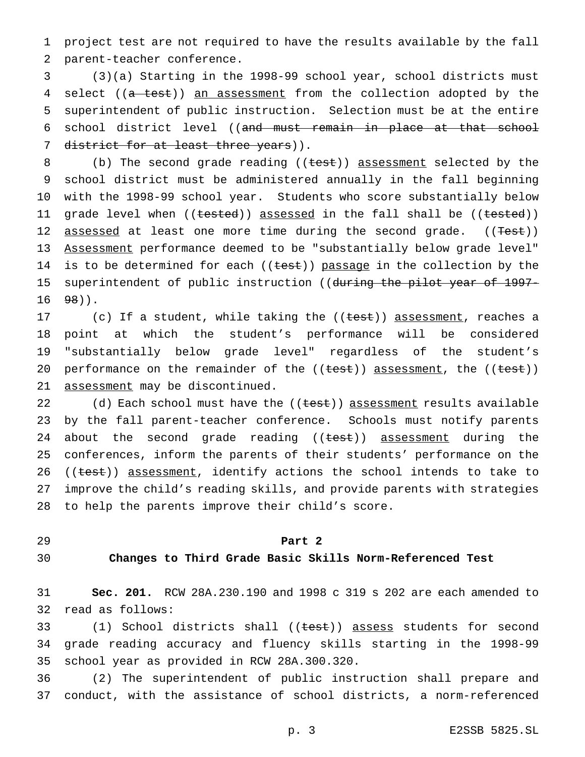1 project test are not required to have the results available by the fall 2 parent-teacher conference.

3 (3)(a) Starting in the 1998-99 school year, school districts must 4 select ((a test)) an assessment from the collection adopted by the 5 superintendent of public instruction. Selection must be at the entire 6 school district level ((and must remain in place at that school 7 district for at least three years)).

8 (b) The second grade reading ((test)) assessment selected by the 9 school district must be administered annually in the fall beginning 10 with the 1998-99 school year. Students who score substantially below 11 grade level when ((tested)) assessed in the fall shall be ((tested)) 12 assessed at least one more time during the second grade. ((Test)) 13 Assessment performance deemed to be "substantially below grade level" 14 is to be determined for each  $((\text{test}))$  passage in the collection by the 15 superintendent of public instruction ((during the pilot year of 1997- $16 \t 98$ ).

17 (c) If a student, while taking the ((<del>test</del>)) assessment, reaches a 18 point at which the student's performance will be considered 19 "substantially below grade level" regardless of the student's 20 performance on the remainder of the  $((test))$  assessment, the  $((test))$ 21 assessment may be discontinued.

22 (d) Each school must have the ((test)) assessment results available 23 by the fall parent-teacher conference. Schools must notify parents 24 about the second grade reading ((test)) assessment during the 25 conferences, inform the parents of their students' performance on the 26 ((test)) assessment, identify actions the school intends to take to 27 improve the child's reading skills, and provide parents with strategies 28 to help the parents improve their child's score.

### 29 **Part 2**

# 30 **Changes to Third Grade Basic Skills Norm-Referenced Test**

31 **Sec. 201.** RCW 28A.230.190 and 1998 c 319 s 202 are each amended to 32 read as follows:

33 (1) School districts shall ((test)) assess students for second 34 grade reading accuracy and fluency skills starting in the 1998-99 35 school year as provided in RCW 28A.300.320.

36 (2) The superintendent of public instruction shall prepare and 37 conduct, with the assistance of school districts, a norm-referenced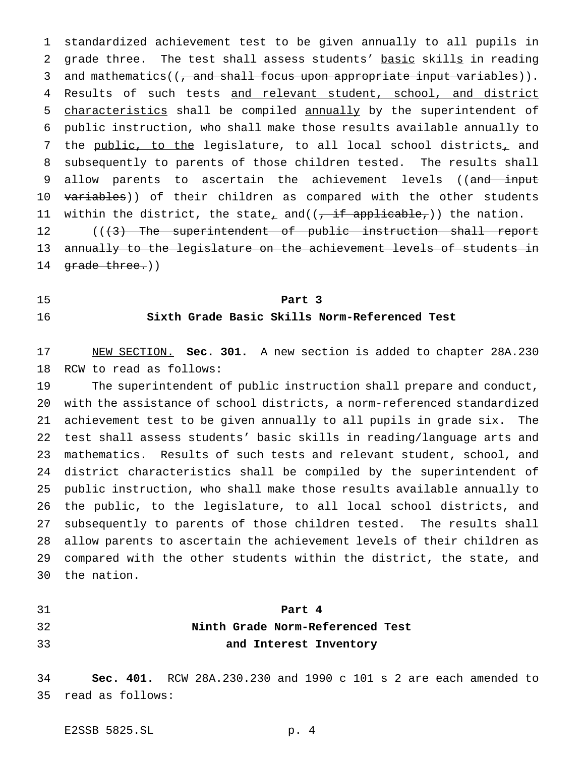standardized achievement test to be given annually to all pupils in 2 grade three. The test shall assess students' basic skills in reading 3 and mathematics((, and shall focus upon appropriate input variables)). 4 Results of such tests and relevant student, school, and district 5 characteristics shall be compiled annually by the superintendent of public instruction, who shall make those results available annually to 7 the public, to the legislature, to all local school districts, and subsequently to parents of those children tested. The results shall 9 allow parents to ascertain the achievement levels ((and input 10 variables)) of their children as compared with the other students 11 within the district, the state<sub>r</sub> and( $(\frac{1}{2} + \frac{1}{2})$ ) the nation. 12 (((3) The superintendent of public instruction shall report

 annually to the legislature on the achievement levels of students in 14 grade three.))

# **Part 3 Sixth Grade Basic Skills Norm-Referenced Test**

 NEW SECTION. **Sec. 301.** A new section is added to chapter 28A.230 RCW to read as follows:

 The superintendent of public instruction shall prepare and conduct, with the assistance of school districts, a norm-referenced standardized achievement test to be given annually to all pupils in grade six. The test shall assess students' basic skills in reading/language arts and mathematics. Results of such tests and relevant student, school, and district characteristics shall be compiled by the superintendent of public instruction, who shall make those results available annually to the public, to the legislature, to all local school districts, and subsequently to parents of those children tested. The results shall allow parents to ascertain the achievement levels of their children as compared with the other students within the district, the state, and the nation.

# **Part 4 Ninth Grade Norm-Referenced Test and Interest Inventory**

 **Sec. 401.** RCW 28A.230.230 and 1990 c 101 s 2 are each amended to read as follows: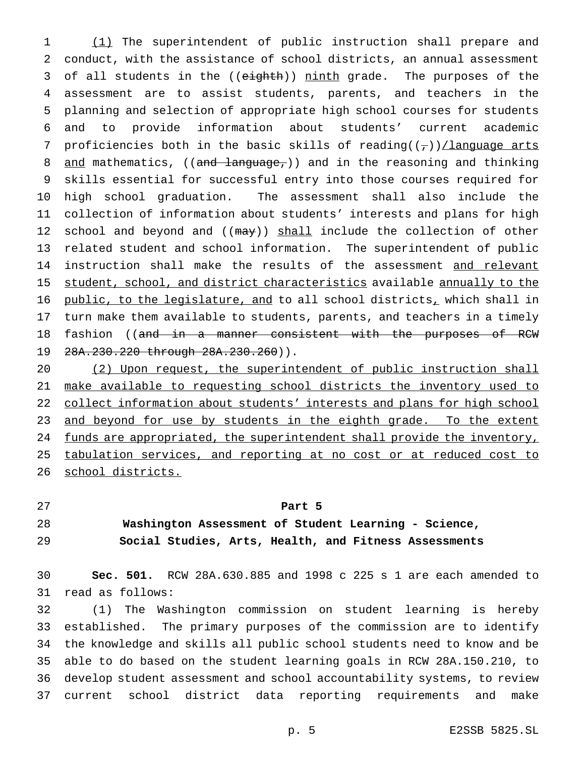(1) The superintendent of public instruction shall prepare and conduct, with the assistance of school districts, an annual assessment 3 of all students in the ((eighth)) ninth grade. The purposes of the assessment are to assist students, parents, and teachers in the planning and selection of appropriate high school courses for students and to provide information about students' current academic 7 proficiencies both in the basic skills of reading( $(\tau)$ )/language arts 8 and mathematics, ((and language,)) and in the reasoning and thinking skills essential for successful entry into those courses required for high school graduation. The assessment shall also include the collection of information about students' interests and plans for high 12 school and beyond and ((may)) shall include the collection of other related student and school information. The superintendent of public 14 instruction shall make the results of the assessment and relevant 15 student, school, and district characteristics available annually to the public, to the legislature, and to all school districts, which shall in turn make them available to students, parents, and teachers in a timely 18 fashion ((and in a manner consistent with the purposes of RCW 28A.230.220 through 28A.230.260)).

 (2) Upon request, the superintendent of public instruction shall make available to requesting school districts the inventory used to 22 collect information about students' interests and plans for high school 23 and beyond for use by students in the eighth grade. To the extent 24 funds are appropriated, the superintendent shall provide the inventory, tabulation services, and reporting at no cost or at reduced cost to school districts.

## **Part 5**

# **Washington Assessment of Student Learning - Science, Social Studies, Arts, Health, and Fitness Assessments**

 **Sec. 501.** RCW 28A.630.885 and 1998 c 225 s 1 are each amended to read as follows:

 (1) The Washington commission on student learning is hereby established. The primary purposes of the commission are to identify the knowledge and skills all public school students need to know and be able to do based on the student learning goals in RCW 28A.150.210, to develop student assessment and school accountability systems, to review current school district data reporting requirements and make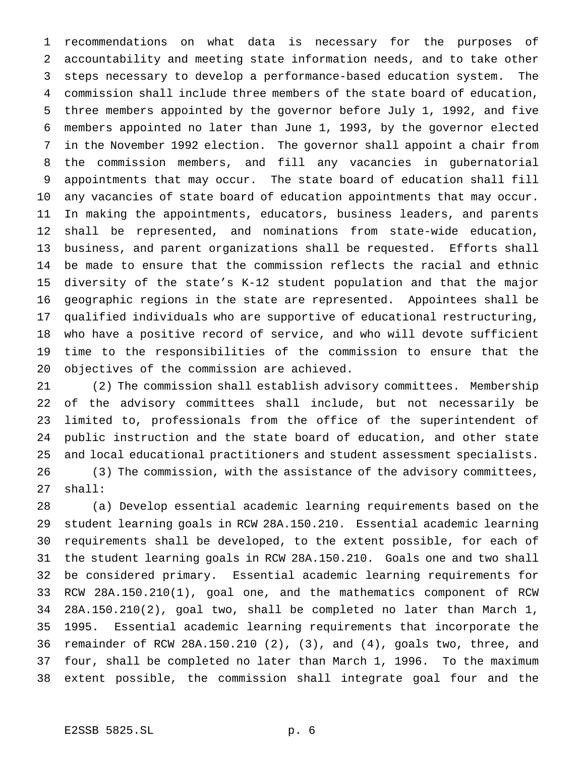recommendations on what data is necessary for the purposes of accountability and meeting state information needs, and to take other steps necessary to develop a performance-based education system. The commission shall include three members of the state board of education, three members appointed by the governor before July 1, 1992, and five members appointed no later than June 1, 1993, by the governor elected in the November 1992 election. The governor shall appoint a chair from the commission members, and fill any vacancies in gubernatorial appointments that may occur. The state board of education shall fill any vacancies of state board of education appointments that may occur. In making the appointments, educators, business leaders, and parents shall be represented, and nominations from state-wide education, business, and parent organizations shall be requested. Efforts shall be made to ensure that the commission reflects the racial and ethnic diversity of the state's K-12 student population and that the major geographic regions in the state are represented. Appointees shall be qualified individuals who are supportive of educational restructuring, who have a positive record of service, and who will devote sufficient time to the responsibilities of the commission to ensure that the objectives of the commission are achieved.

 (2) The commission shall establish advisory committees. Membership of the advisory committees shall include, but not necessarily be limited to, professionals from the office of the superintendent of public instruction and the state board of education, and other state and local educational practitioners and student assessment specialists. (3) The commission, with the assistance of the advisory committees, shall:

 (a) Develop essential academic learning requirements based on the student learning goals in RCW 28A.150.210. Essential academic learning requirements shall be developed, to the extent possible, for each of the student learning goals in RCW 28A.150.210. Goals one and two shall be considered primary. Essential academic learning requirements for RCW 28A.150.210(1), goal one, and the mathematics component of RCW 28A.150.210(2), goal two, shall be completed no later than March 1, 1995. Essential academic learning requirements that incorporate the remainder of RCW 28A.150.210 (2), (3), and (4), goals two, three, and four, shall be completed no later than March 1, 1996. To the maximum extent possible, the commission shall integrate goal four and the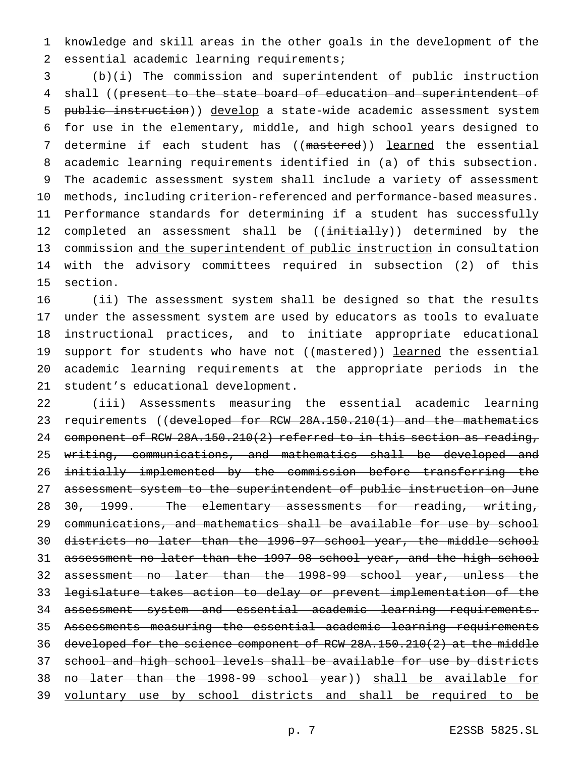knowledge and skill areas in the other goals in the development of the essential academic learning requirements;

 (b)(i) The commission and superintendent of public instruction 4 shall ((present to the state board of education and superintendent of public instruction)) develop a state-wide academic assessment system for use in the elementary, middle, and high school years designed to 7 determine if each student has ((mastered)) learned the essential academic learning requirements identified in (a) of this subsection. The academic assessment system shall include a variety of assessment methods, including criterion-referenced and performance-based measures. Performance standards for determining if a student has successfully 12 completed an assessment shall be ((initially)) determined by the commission and the superintendent of public instruction in consultation with the advisory committees required in subsection (2) of this section.

 (ii) The assessment system shall be designed so that the results under the assessment system are used by educators as tools to evaluate instructional practices, and to initiate appropriate educational 19 support for students who have not ((mastered)) learned the essential academic learning requirements at the appropriate periods in the student's educational development.

 (iii) Assessments measuring the essential academic learning 23 requirements ((developed for RCW 28A.150.210(1) and the mathematics 24 component of RCW  $28A.150.210(2)$  referred to in this section as reading, writing, communications, and mathematics shall be developed and initially implemented by the commission before transferring the 27 assessment system to the superintendent of public instruction on June 28 30, 1999. The elementary assessments for reading, writing, communications, and mathematics shall be available for use by school districts no later than the 1996-97 school year, the middle school assessment no later than the 1997-98 school year, and the high school assessment no later than the 1998-99 school year, unless the legislature takes action to delay or prevent implementation of the assessment system and essential academic learning requirements. Assessments measuring the essential academic learning requirements developed for the science component of RCW 28A.150.210(2) at the middle school and high school levels shall be available for use by districts 38 no later than the 1998-99 school year)) shall be available for voluntary use by school districts and shall be required to be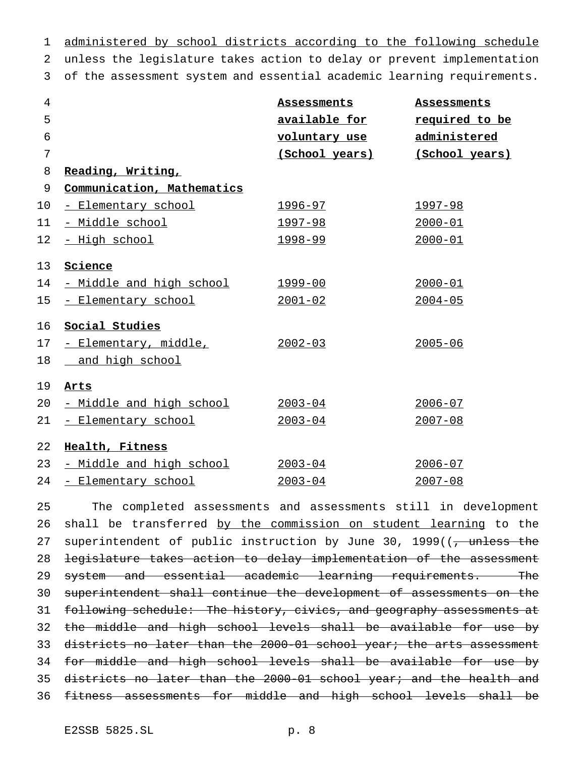administered by school districts according to the following schedule unless the legislature takes action to delay or prevent implementation of the assessment system and essential academic learning requirements.

| $\overline{4}$  |                            | Assessments     | Assessments    |
|-----------------|----------------------------|-----------------|----------------|
| 5               |                            | available for   | required to be |
| 6               |                            | voluntary use   | administered   |
| 7               |                            | (School years)  | (School years) |
| 8               | Reading, Writing,          |                 |                |
| 9               | Communication, Mathematics |                 |                |
| 10              | - Elementary school        | <u> 1996–97</u> | 1997-98        |
| 11              | - Middle school            | 1997-98         | $2000 - 01$    |
| 12 <sub>1</sub> | <u>- High school</u>       | 1998-99         | $2000 - 01$    |
| 13              | Science                    |                 |                |
| 14              | - Middle and high school   | 1999-00         | $2000 - 01$    |
| 15 <sub>1</sub> | - Elementary school        | $2001 - 02$     | $2004 - 05$    |
| 16              | Social Studies             |                 |                |
| 17 <sub>2</sub> | - Elementary, middle,      | $2002 - 03$     | $2005 - 06$    |
| 18              | and high school            |                 |                |
| 19              | Arts                       |                 |                |
| 20              | - Middle and high school   | $2003 - 04$     | $2006 - 07$    |
| 21              | - Elementary school        | $2003 - 04$     | $2007 - 08$    |
| 22              | Health, Fitness            |                 |                |
| 23              | - Middle and high school   | $2003 - 04$     | $2006 - 07$    |
| 24              | - Elementary school        | $2003 - 04$     | $2007 - 08$    |

 The completed assessments and assessments still in development 26 shall be transferred by the commission on student learning to the 27 superintendent of public instruction by June 30, 1999((<del>, unless the</del> 28 legislature takes action to delay implementation of the assessment 29 system and essential academic learning requirements. The superintendent shall continue the development of assessments on the 31 following schedule: The history, civics, and geography assessments at 32 the middle and high school levels shall be available for use by 33 districts no later than the 2000-01 school year; the arts assessment 34 for middle and high school levels shall be available for use by districts no later than the 2000-01 school year; and the health and fitness assessments for middle and high school levels shall be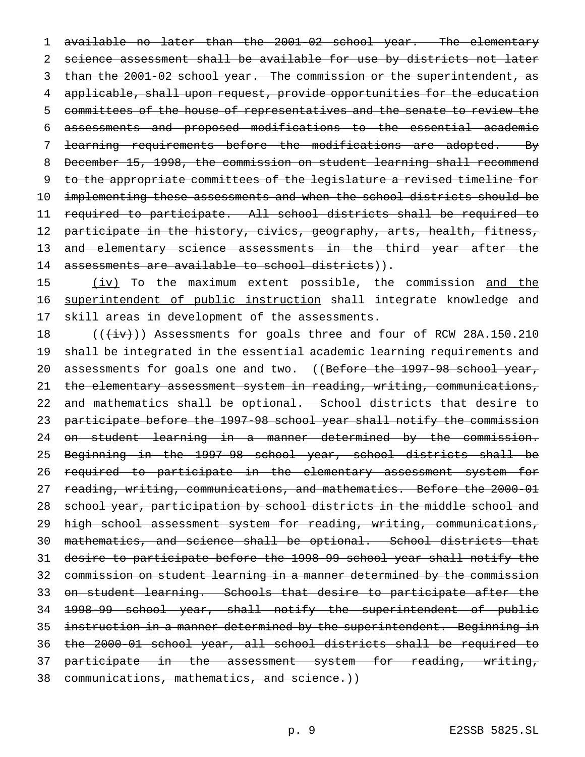available no later than the 2001-02 school year. The elementary science assessment shall be available for use by districts not later than the 2001-02 school year. The commission or the superintendent, as applicable, shall upon request, provide opportunities for the education committees of the house of representatives and the senate to review the assessments and proposed modifications to the essential academic 7 learning requirements before the modifications are adopted. By December 15, 1998, the commission on student learning shall recommend to the appropriate committees of the legislature a revised timeline for 10 implementing these assessments and when the school districts should be required to participate. All school districts shall be required to 12 participate in the history, civics, geography, arts, health, fitness, 13 and elementary science assessments in the third year after the 14 assessments are available to school districts)).

15 (iv) To the maximum extent possible, the commission and the 16 superintendent of public instruction shall integrate knowledge and skill areas in development of the assessments.

 $((\overleftrightarrow{iv}))$  Assessments for goals three and four of RCW 28A.150.210 shall be integrated in the essential academic learning requirements and 20 assessments for goals one and two. ((Before the 1997-98 school year, 21 the elementary assessment system in reading, writing, communications, 22 and mathematics shall be optional. School districts that desire to participate before the 1997-98 school year shall notify the commission on student learning in a manner determined by the commission. Beginning in the 1997-98 school year, school districts shall be required to participate in the elementary assessment system for 27 reading, writing, communications, and mathematics. Before the 2000-01 school year, participation by school districts in the middle school and high school assessment system for reading, writing, communications, mathematics, and science shall be optional. School districts that desire to participate before the 1998-99 school year shall notify the commission on student learning in a manner determined by the commission on student learning. Schools that desire to participate after the 1998-99 school year, shall notify the superintendent of public instruction in a manner determined by the superintendent. Beginning in the 2000-01 school year, all school districts shall be required to 37 participate in the assessment system for reading, writing, communications, mathematics, and science.))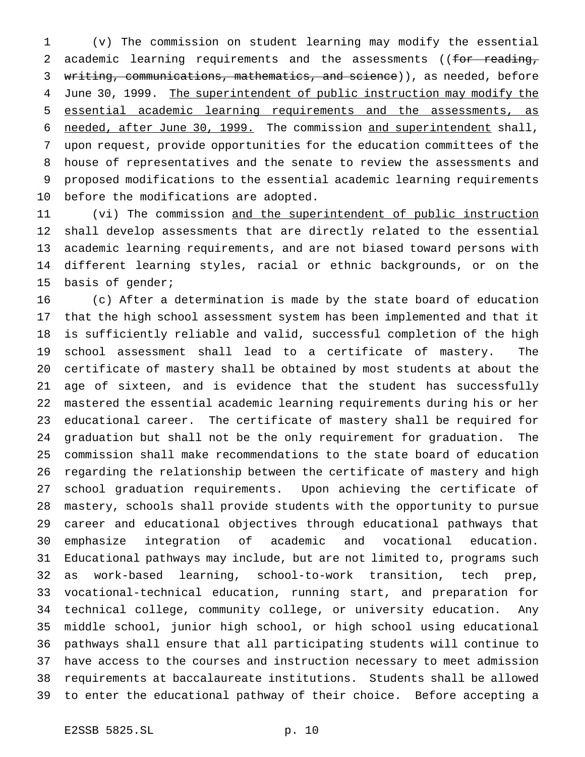(v) The commission on student learning may modify the essential 2 academic learning requirements and the assessments ((for reading, 3 writing, communications, mathematics, and science)), as needed, before 4 June 30, 1999. The superintendent of public instruction may modify the essential academic learning requirements and the assessments, as needed, after June 30, 1999. The commission and superintendent shall, upon request, provide opportunities for the education committees of the house of representatives and the senate to review the assessments and proposed modifications to the essential academic learning requirements before the modifications are adopted.

11 (vi) The commission and the superintendent of public instruction shall develop assessments that are directly related to the essential academic learning requirements, and are not biased toward persons with different learning styles, racial or ethnic backgrounds, or on the basis of gender;

 (c) After a determination is made by the state board of education that the high school assessment system has been implemented and that it is sufficiently reliable and valid, successful completion of the high school assessment shall lead to a certificate of mastery. The certificate of mastery shall be obtained by most students at about the age of sixteen, and is evidence that the student has successfully mastered the essential academic learning requirements during his or her educational career. The certificate of mastery shall be required for graduation but shall not be the only requirement for graduation. The commission shall make recommendations to the state board of education regarding the relationship between the certificate of mastery and high school graduation requirements. Upon achieving the certificate of mastery, schools shall provide students with the opportunity to pursue career and educational objectives through educational pathways that emphasize integration of academic and vocational education. Educational pathways may include, but are not limited to, programs such as work-based learning, school-to-work transition, tech prep, vocational-technical education, running start, and preparation for technical college, community college, or university education. Any middle school, junior high school, or high school using educational pathways shall ensure that all participating students will continue to have access to the courses and instruction necessary to meet admission requirements at baccalaureate institutions. Students shall be allowed to enter the educational pathway of their choice. Before accepting a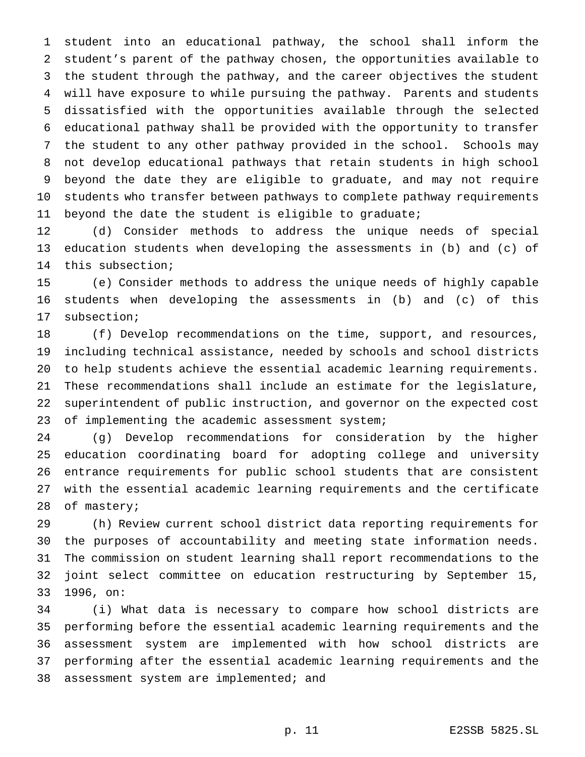student into an educational pathway, the school shall inform the student's parent of the pathway chosen, the opportunities available to the student through the pathway, and the career objectives the student will have exposure to while pursuing the pathway. Parents and students dissatisfied with the opportunities available through the selected educational pathway shall be provided with the opportunity to transfer the student to any other pathway provided in the school. Schools may not develop educational pathways that retain students in high school beyond the date they are eligible to graduate, and may not require students who transfer between pathways to complete pathway requirements beyond the date the student is eligible to graduate;

 (d) Consider methods to address the unique needs of special education students when developing the assessments in (b) and (c) of this subsection;

 (e) Consider methods to address the unique needs of highly capable students when developing the assessments in (b) and (c) of this subsection;

 (f) Develop recommendations on the time, support, and resources, including technical assistance, needed by schools and school districts to help students achieve the essential academic learning requirements. These recommendations shall include an estimate for the legislature, superintendent of public instruction, and governor on the expected cost 23 of implementing the academic assessment system;

 (g) Develop recommendations for consideration by the higher education coordinating board for adopting college and university entrance requirements for public school students that are consistent with the essential academic learning requirements and the certificate of mastery;

 (h) Review current school district data reporting requirements for the purposes of accountability and meeting state information needs. The commission on student learning shall report recommendations to the joint select committee on education restructuring by September 15, 1996, on:

 (i) What data is necessary to compare how school districts are performing before the essential academic learning requirements and the assessment system are implemented with how school districts are performing after the essential academic learning requirements and the 38 assessment system are implemented; and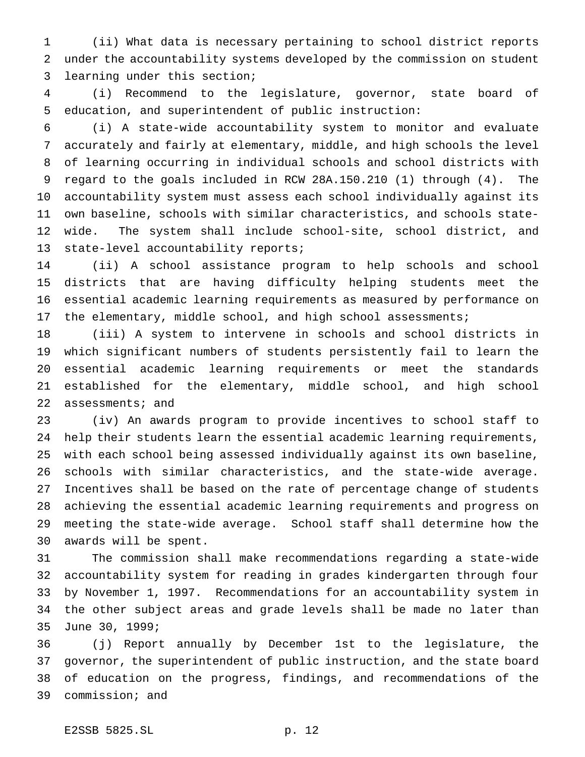(ii) What data is necessary pertaining to school district reports under the accountability systems developed by the commission on student learning under this section;

 (i) Recommend to the legislature, governor, state board of education, and superintendent of public instruction:

 (i) A state-wide accountability system to monitor and evaluate accurately and fairly at elementary, middle, and high schools the level of learning occurring in individual schools and school districts with regard to the goals included in RCW 28A.150.210 (1) through (4). The accountability system must assess each school individually against its own baseline, schools with similar characteristics, and schools state- wide. The system shall include school-site, school district, and state-level accountability reports;

 (ii) A school assistance program to help schools and school districts that are having difficulty helping students meet the essential academic learning requirements as measured by performance on 17 the elementary, middle school, and high school assessments;

 (iii) A system to intervene in schools and school districts in which significant numbers of students persistently fail to learn the essential academic learning requirements or meet the standards established for the elementary, middle school, and high school 22 assessments; and

 (iv) An awards program to provide incentives to school staff to help their students learn the essential academic learning requirements, with each school being assessed individually against its own baseline, schools with similar characteristics, and the state-wide average. Incentives shall be based on the rate of percentage change of students achieving the essential academic learning requirements and progress on meeting the state-wide average. School staff shall determine how the awards will be spent.

 The commission shall make recommendations regarding a state-wide accountability system for reading in grades kindergarten through four by November 1, 1997. Recommendations for an accountability system in the other subject areas and grade levels shall be made no later than June 30, 1999;

 (j) Report annually by December 1st to the legislature, the governor, the superintendent of public instruction, and the state board of education on the progress, findings, and recommendations of the commission; and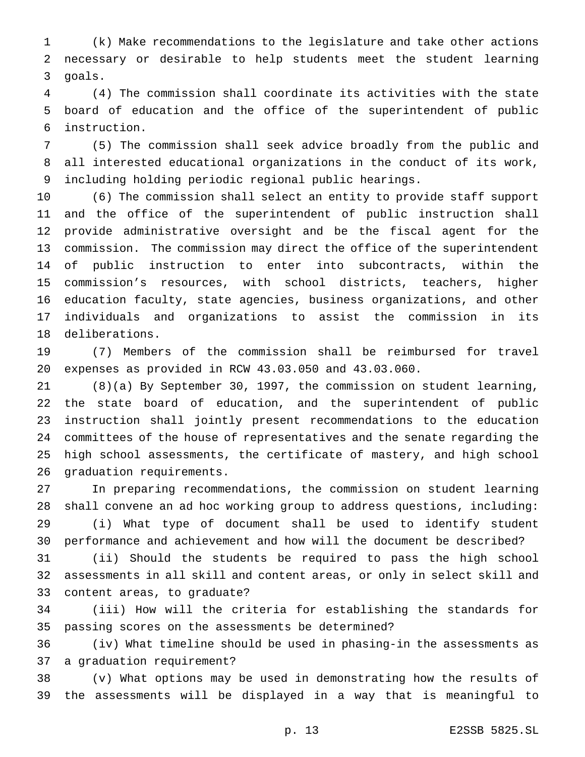(k) Make recommendations to the legislature and take other actions necessary or desirable to help students meet the student learning goals.

 (4) The commission shall coordinate its activities with the state board of education and the office of the superintendent of public instruction.

 (5) The commission shall seek advice broadly from the public and all interested educational organizations in the conduct of its work, including holding periodic regional public hearings.

 (6) The commission shall select an entity to provide staff support and the office of the superintendent of public instruction shall provide administrative oversight and be the fiscal agent for the commission. The commission may direct the office of the superintendent of public instruction to enter into subcontracts, within the commission's resources, with school districts, teachers, higher education faculty, state agencies, business organizations, and other individuals and organizations to assist the commission in its deliberations.

 (7) Members of the commission shall be reimbursed for travel expenses as provided in RCW 43.03.050 and 43.03.060.

 (8)(a) By September 30, 1997, the commission on student learning, the state board of education, and the superintendent of public instruction shall jointly present recommendations to the education committees of the house of representatives and the senate regarding the high school assessments, the certificate of mastery, and high school graduation requirements.

 In preparing recommendations, the commission on student learning shall convene an ad hoc working group to address questions, including: (i) What type of document shall be used to identify student performance and achievement and how will the document be described?

 (ii) Should the students be required to pass the high school assessments in all skill and content areas, or only in select skill and content areas, to graduate?

 (iii) How will the criteria for establishing the standards for passing scores on the assessments be determined?

 (iv) What timeline should be used in phasing-in the assessments as a graduation requirement?

 (v) What options may be used in demonstrating how the results of the assessments will be displayed in a way that is meaningful to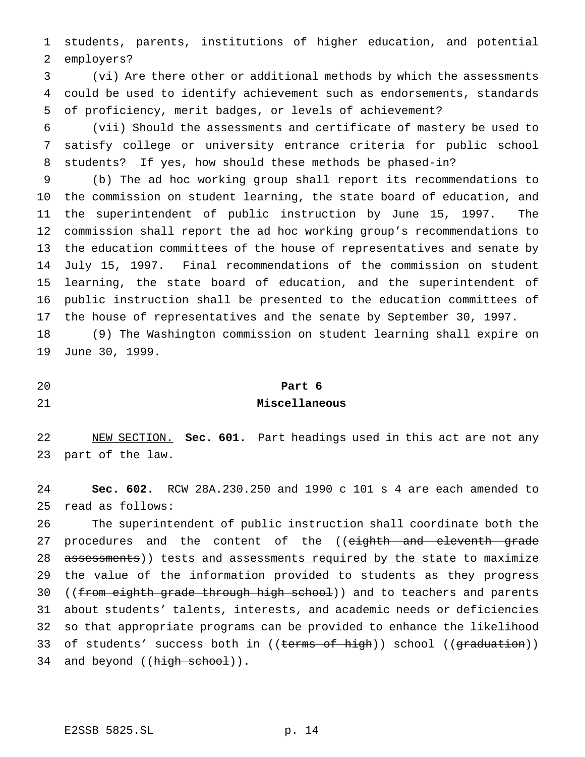students, parents, institutions of higher education, and potential employers?

 (vi) Are there other or additional methods by which the assessments could be used to identify achievement such as endorsements, standards of proficiency, merit badges, or levels of achievement?

 (vii) Should the assessments and certificate of mastery be used to satisfy college or university entrance criteria for public school students? If yes, how should these methods be phased-in?

 (b) The ad hoc working group shall report its recommendations to the commission on student learning, the state board of education, and the superintendent of public instruction by June 15, 1997. The commission shall report the ad hoc working group's recommendations to the education committees of the house of representatives and senate by July 15, 1997. Final recommendations of the commission on student learning, the state board of education, and the superintendent of public instruction shall be presented to the education committees of the house of representatives and the senate by September 30, 1997.

 (9) The Washington commission on student learning shall expire on June 30, 1999.

**Part 6**

#### **Miscellaneous**

 NEW SECTION. **Sec. 601.** Part headings used in this act are not any part of the law.

 **Sec. 602.** RCW 28A.230.250 and 1990 c 101 s 4 are each amended to read as follows:

 The superintendent of public instruction shall coordinate both the 27 procedures and the content of the ((eighth and eleventh grade 28 assessments)) tests and assessments required by the state to maximize the value of the information provided to students as they progress 30 ((from eighth grade through high school)) and to teachers and parents about students' talents, interests, and academic needs or deficiencies so that appropriate programs can be provided to enhance the likelihood 33 of students' success both in ((terms of high)) school ((graduation)) 34 and beyond ((high school)).